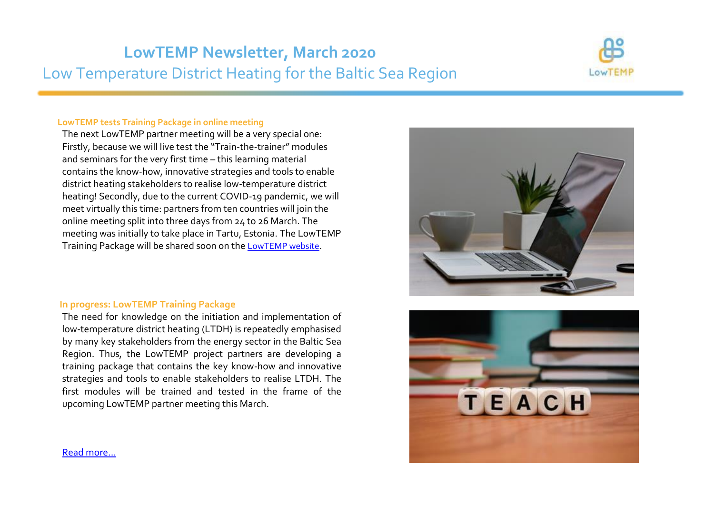# **LowTEMP Newsletter, March 2020** Low Temperature District Heating for the Baltic Sea Region



#### **LowTEMP tests Training Package in online meeting**

The next LowTEMP partner meeting will be a very special one: Firstly, because we will live test the "Train-the-trainer" modules and seminars for the very first time – this learning material contains the know-how, innovative strategies and tools to enable district heating stakeholders to realise low-temperature district heating! Secondly, due to the current COVID-19 pandemic, we will meet virtually this time: partners from ten countries will join the online meeting split into three days from 24 to 26 March. The meeting was initially to take place in Tartu, Estonia. The LowTEMP Training Package will be shared soon on the [LowTEMP website](http://www.lowtemp.eu/).

#### **In progress: LowTEMP Training Package**

The need for knowledge on the initiation and implementation of low-temperature district heating (LTDH) is repeatedly emphasised by many key stakeholders from the energy sector in the Baltic Sea Region. Thus, the LowTEMP project partners are developing a training package that contains the key know-how and innovative strategies and tools to enable stakeholders to realise LTDH. The first modules will be trained and tested in the frame of the upcoming LowTEMP partner meeting this March.





[Read more...](http://www.lowtemp.eu/uncategorized/in-progress-lowtemp-training-package/)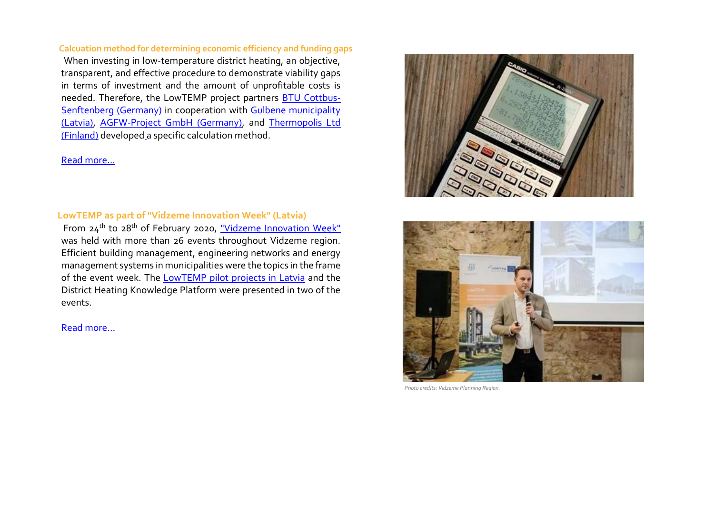#### **Calcuation method for determining economic efficiency and funding gaps**

When investing in low-temperature district heating, an objective, transparent, and effective procedure to demonstrate viability gaps in terms of investment and the amount of unprofitable costs is needed. Therefore, the LowTEMP project partners [BTU Cottbus-](http://www.lowtemp.eu/partners/brandenburg-university-technology-cottbus-senftenberg/)[Senftenberg \(Germany\)](http://www.lowtemp.eu/partners/brandenburg-university-technology-cottbus-senftenberg/) in cooperation with [Gulbene municipality](http://www.lowtemp.eu/partners/gulbene-municipality/)  [\(Latvia\),](http://www.lowtemp.eu/partners/gulbene-municipality/) [AGFW-Project GmbH \(Germany\),](http://www.lowtemp.eu/partners/agfw-energy-efficiency-association-heating-cooling-chp/) and [Thermopolis Ltd](http://www.lowtemp.eu/partners/thermopolis-ltd/)  [\(Finland\)](http://www.lowtemp.eu/partners/thermopolis-ltd/) developed a specific calculation method.

# [Read more...](http://www.lowtemp.eu/uncategorized/calculation-method-for-determining-economic-efficiency-and-funding-gaps/)

#### **LowTEMP as part of "Vidzeme Innovation Week" (Latvia)**

From 24th to 28th of February 2020, ["Vidzeme Innovation Week"](http://innovation.vidzeme.lv/en/) was held with more than 26 events throughout Vidzeme region. Efficient building management, engineering networks and energy management systems in municipalities were the topics in the frame of the event week. The LowTEMP pilot [projects in Latvia](http://www.lowtemp.eu/map/) and the District Heating Knowledge Platform were presented in two of the events.

#### [Read more…](http://www.lowtemp.eu/uncategorized/lowtemp-project-as-part-of-vidzeme-innovation-week-events-in-latvia/)





 *Photo credits: Vidzeme Planning Region.*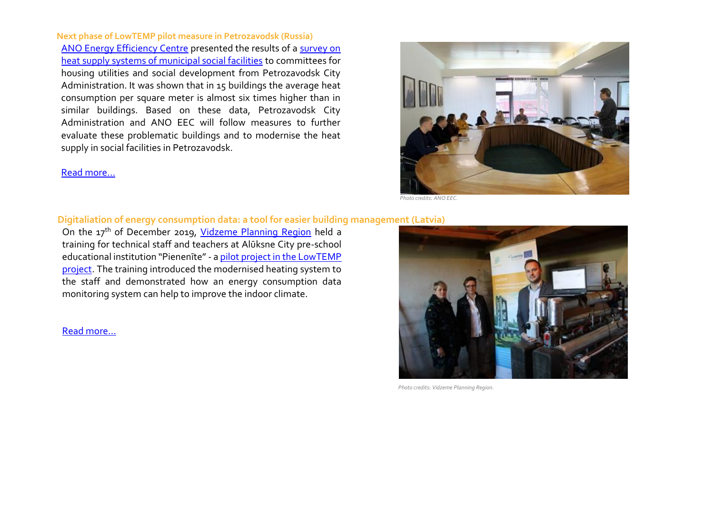**Next phase of LowTEMP pilot measure in Petrozavodsk (Russia)** [ANO Energy Efficiency Centre](https://kaeec.org/en/news/8287.html) presented the results of a [survey on](http://www.lowtemp.eu/collection-and-analysis-of-data-on-heat-supply-heat-losses-and-heat-consumption-petrozavodsk/)  [heat supply systems of municipal social facilities](http://www.lowtemp.eu/collection-and-analysis-of-data-on-heat-supply-heat-losses-and-heat-consumption-petrozavodsk/) to committees for housing utilities and social development from Petrozavodsk City Administration. It was shown that in 15 buildings the average heat consumption per square meter is almost six times higher than in similar buildings. Based on these data, Petrozavodsk City Administration and ANO EEC will follow measures to further evaluate these problematic buildings and to modernise the heat supply in social facilities in Petrozavodsk.

[Read more…](http://www.lowtemp.eu/uncategorized/implementation-of-lowtemp-pilot-measures-in-petrozavodsk/)



 *Photo credits: ANO EEC.*

### **Digitaliation of energy consumption data: a tool for easier building management (Latvia)**

On the 17th of December 2019, [Vidzeme Planning Region](http://www.lowtemp.eu/partners/vidzeme-planning-region/) held a training for technical staff and teachers at Alūksne City pre-school educational institution "Pienenīte" - [a pilot project in the LowTEMP](http://www.lowtemp.eu/map/)  [project.](http://www.lowtemp.eu/map/) The training introduced the modernised heating system to the staff and demonstrated how an energy consumption data monitoring system can help to improve the indoor climate.

[Read more…](http://www.lowtemp.eu/uncategorized/digitalisation-of-energy-consumption-data-a-tool-for-easier-building-management/)



 *Photo credits: Vidzeme Planning Region.*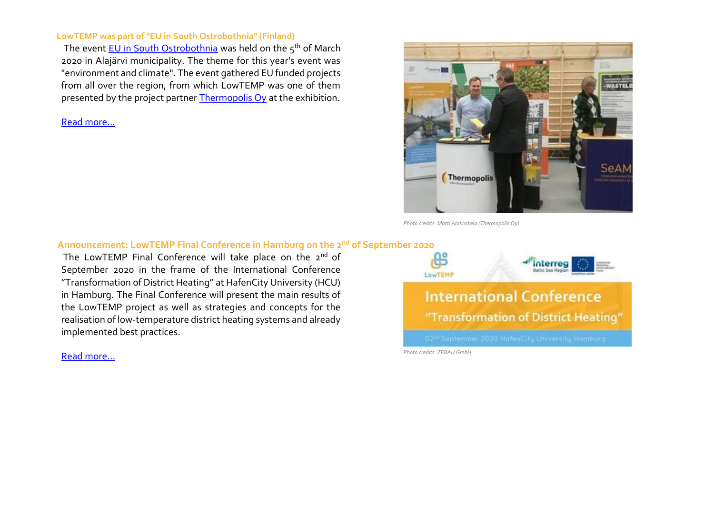#### **LowTEMP was part of "EU in South Ostrobothnia" (Finland)**

The event [EU in South Ostrobothnia](https://www.epliitto.fi/tapahtumat) was held on the 5<sup>th</sup> of March 2020 in Alajärvi municipality. The theme for this year's event was "environment and climate". The event gathered EU funded projects from all over the region, from which LowTEMP was one of them presented by the project partner [Thermopolis Oy](http://www.lowtemp.eu/partners/thermopolis-ltd/) at the exhibition.

[Read more...](http://www.lowtemp.eu/uncategorized/lowtemp-was-part-of-eu-in-south-ostrobothnia-event-finland/)



 *Photo credits: Matti Alakoskela (Thermopolis Oy)*

#### **Announcement: LowTEMP Final Conference in Hamburg on the 2nd of September 2020**

The LowTEMP Final Conference will take place on the 2<sup>nd</sup> of September 2020 in the frame of the International Conference "Transformation of District Heating" at HafenCity University (HCU) in Hamburg. The Final Conference will present the main results of the LowTEMP project as well as strategies and concepts for the realisation of low-temperature district heating systems and already implemented best practices.

[Read more…](http://www.lowtemp.eu/uncategorized/lowtemp-at-the-cluster-renewable-energy-hamburg-heating-forum/)

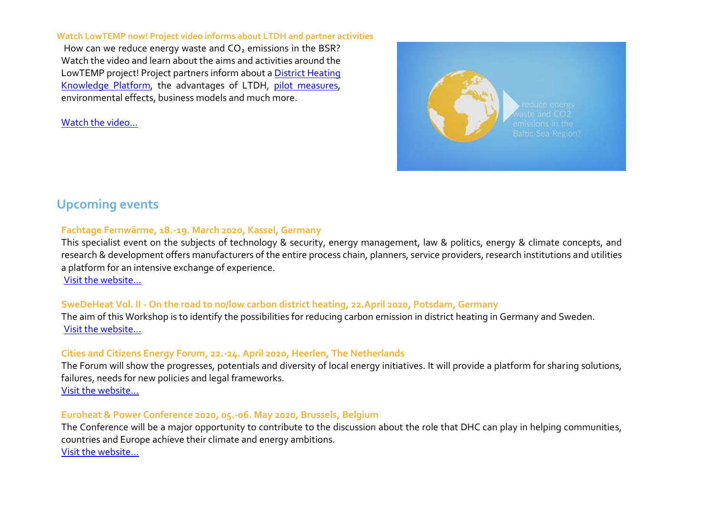#### **Watch LowTEMP now! Project video informs about LTDH and partner activities**

How can we reduce energy waste and  $CO<sub>2</sub>$  emissions in the BSR? Watch the video and learn about the aims and activities around the LowTEMP project! Project partners inform about [a District Heating](http://www.dhknowledge.eu/)  [Knowledge Platform,](http://www.dhknowledge.eu/) the advantages of LTDH, [pilot measures,](http://www.lowtemp.eu/map/) environmental effects, business models and much more.

[Watch the video…](https://www.youtube.com/watch?v=Du6D1uQtxTg)



# **Upcoming events**

# **Fachtage Fernwärme, 18.-19. March 2020, Kassel, Germany**

This specialist event on the subjects of technology & security, energy management, law & politics, energy & climate concepts, and research & development offers manufacturers of the entire process chain, planners, service providers, research institutions and utilities a platform for an intensive exchange of experience.

[Visit the website…](https://www.fachtage-fernwaerme.de/)

# **SweDeHeat Vol. II - On the road to no/low carbon district heating, 22.April 2020, Potsdam, Germany**

The aim of this Workshop is to identify the possibilities for reducing carbon emission in district heating in Germany and Sweden. [Visit the website…](https://www.wfbb.de/en/News/Events/SweDeHeat-Vol-II-%E2%80%93-On-the-road-to-nolow-carbon-district-heating)

# **Cities and Citizens Energy Forum, 22.-24. April 2020, Heerlen, The Netherlands**

The Forum will show the progresses, potentials and diversity of local energy initiatives. It will provide a platform for sharing solutions, failures, needs for new policies and legal frameworks. [Visit the website…](https://energy-cities.eu/cities-and-citizens-energy-forum-save-the-date/)

# **Euroheat & Power Conference 2020, 05.-06. May 2020, Brussels, Belgium**

The Conference will be a major opportunity to contribute to the discussion about the role that DHC can play in helping communities, countries and Europe achieve their climate and energy ambitions. [Visit the website…](https://www.euroheat.org/events/euroheat-power-annual-conference/)